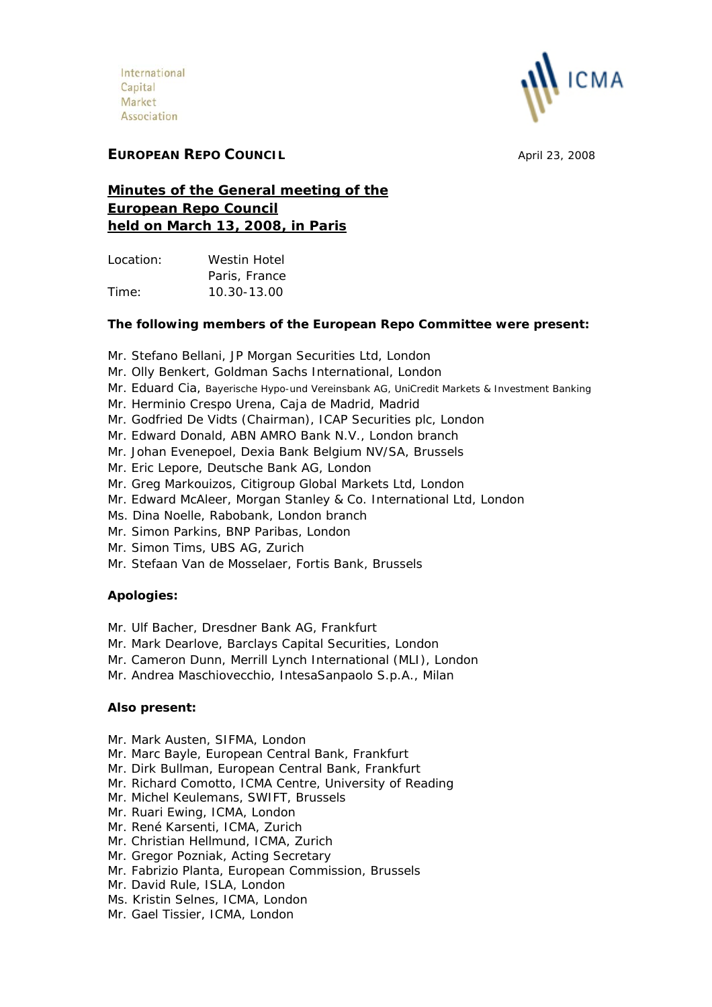

# **EUROPEAN REPO COUNCIL April 23, 2008**

# **Minutes of the General meeting of the European Repo Council held on March 13, 2008, in Paris**

Location: Westin Hotel Paris, France Time: 10.30-13.00

## **The following members of the European Repo Committee were present:**

- Mr. Stefano Bellani, JP Morgan Securities Ltd, London
- Mr. Olly Benkert, Goldman Sachs International, London
- Mr. Eduard Cia, Bayerische Hypo-und Vereinsbank AG, UniCredit Markets & Investment Banking
- Mr. Herminio Crespo Urena, Caja de Madrid, Madrid
- Mr. Godfried De Vidts (Chairman), ICAP Securities plc, London
- Mr. Edward Donald, ABN AMRO Bank N.V., London branch
- Mr. Johan Evenepoel, Dexia Bank Belgium NV/SA, Brussels
- Mr. Eric Lepore, Deutsche Bank AG, London
- Mr. Greg Markouizos, Citigroup Global Markets Ltd, London
- Mr. Edward McAleer, Morgan Stanley & Co. International Ltd, London
- Ms. Dina Noelle, Rabobank, London branch
- Mr. Simon Parkins, BNP Paribas, London
- Mr. Simon Tims, UBS AG, Zurich
- Mr. Stefaan Van de Mosselaer, Fortis Bank, Brussels

## **Apologies:**

- Mr. Ulf Bacher, Dresdner Bank AG, Frankfurt
- Mr. Mark Dearlove, Barclays Capital Securities, London
- Mr. Cameron Dunn, Merrill Lynch International (MLI), London
- Mr. Andrea Maschiovecchio, IntesaSanpaolo S.p.A., Milan

### **Also present:**

- Mr. Mark Austen, SIFMA, London
- Mr. Marc Bayle, European Central Bank, Frankfurt
- Mr. Dirk Bullman, European Central Bank, Frankfurt
- Mr. Richard Comotto, ICMA Centre, University of Reading
- Mr. Michel Keulemans, SWIFT, Brussels
- Mr. Ruari Ewing, ICMA, London
- Mr. René Karsenti, ICMA, Zurich
- Mr. Christian Hellmund, ICMA, Zurich
- Mr. Gregor Pozniak, Acting Secretary
- Mr. Fabrizio Planta, European Commission, Brussels
- Mr. David Rule, ISLA, London
- Ms. Kristin Selnes, ICMA, London
- Mr. Gael Tissier, ICMA, London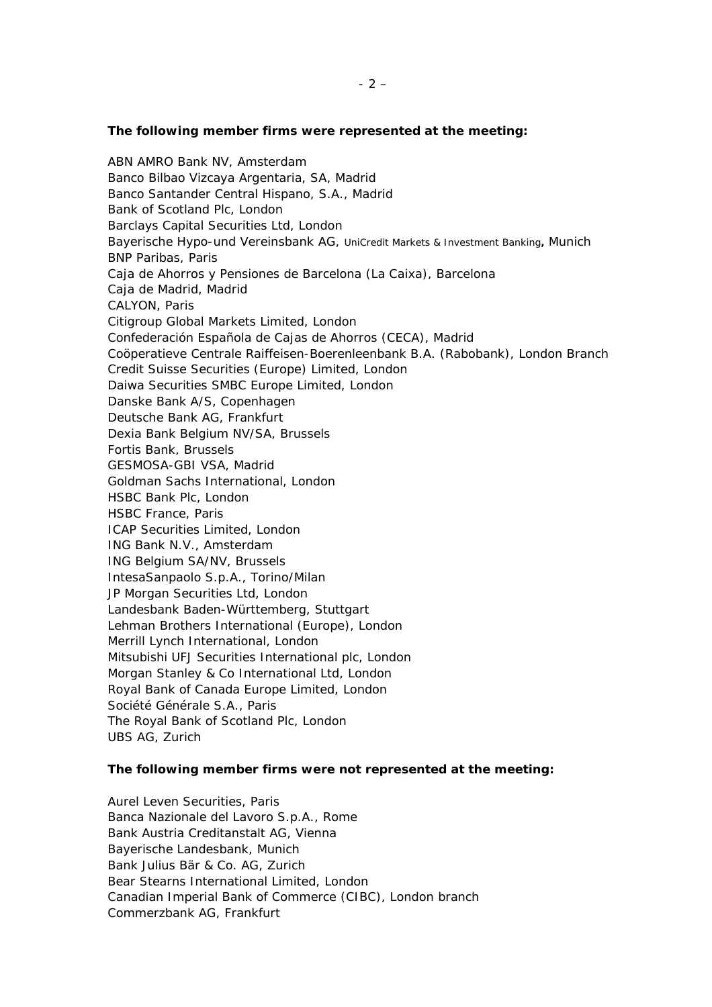#### **The following member firms were represented at the meeting:**

*ABN AMRO Bank NV, Amsterdam Banco Bilbao Vizcaya Argentaria, SA, Madrid Banco Santander Central Hispano, S.A., Madrid Bank of Scotland Plc, London Barclays Capital Securities Ltd, London Bayerische Hypo-und* Vereinsbank AG, UniCredit Markets & Investment Banking**,** *Munich BNP Paribas, Paris Caja de Ahorros y Pensiones de Barcelona (La Caixa), Barcelona Caja de Madrid, Madrid CALYON, Paris Citigroup Global Markets Limited, London Confederación Española de Cajas de Ahorros (CECA), Madrid Coöperatieve Centrale Raiffeisen-Boerenleenbank B.A. (Rabobank), London Branch Credit Suisse Securities (Europe) Limited, London Daiwa Securities SMBC Europe Limited, London Danske Bank A/S, Copenhagen Deutsche Bank AG, Frankfurt Dexia Bank Belgium NV/SA, Brussels Fortis Bank, Brussels GESMOSA-GBI VSA, Madrid Goldman Sachs International, London HSBC Bank Plc, London HSBC France, Paris ICAP Securities Limited, London ING Bank N.V., Amsterdam ING Belgium SA/NV, Brussels IntesaSanpaolo S.p.A., Torino/Milan JP Morgan Securities Ltd, London Landesbank Baden-Württemberg, Stuttgart Lehman Brothers International (Europe), London Merrill Lynch International, London Mitsubishi UFJ Securities International plc, London Morgan Stanley & Co International Ltd, London Royal Bank of Canada Europe Limited, London Société Générale S.A., Paris The Royal Bank of Scotland Plc, London UBS AG, Zurich* 

#### **The following member firms were not represented at the meeting:**

*Aurel Leven Securities, Paris Banca Nazionale del Lavoro S.p.A., Rome Bank Austria Creditanstalt AG, Vienna Bayerische Landesbank, Munich Bank Julius Bär & Co. AG, Zurich Bear Stearns International Limited, London Canadian Imperial Bank of Commerce (CIBC), London branch Commerzbank AG, Frankfurt*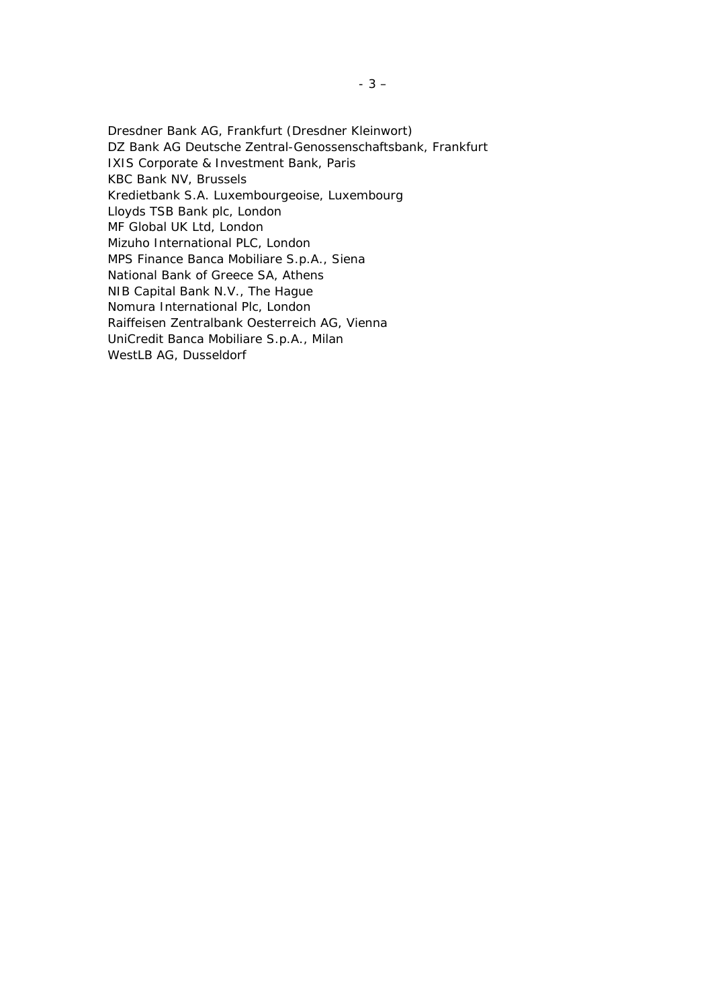*Dresdner Bank AG, Frankfurt (Dresdner Kleinwort) DZ Bank AG Deutsche Zentral-Genossenschaftsbank, Frankfurt IXIS Corporate & Investment Bank, Paris KBC Bank NV, Brussels Kredietbank S.A. Luxembourgeoise, Luxembourg Lloyds TSB Bank plc, London MF Global UK Ltd, London Mizuho International PLC, London MPS Finance Banca Mobiliare S.p.A., Siena National Bank of Greece SA, Athens NIB Capital Bank N.V., The Hague Nomura International Plc, London Raiffeisen Zentralbank Oesterreich AG, Vienna UniCredit Banca Mobiliare S.p.A., Milan WestLB AG, Dusseldorf*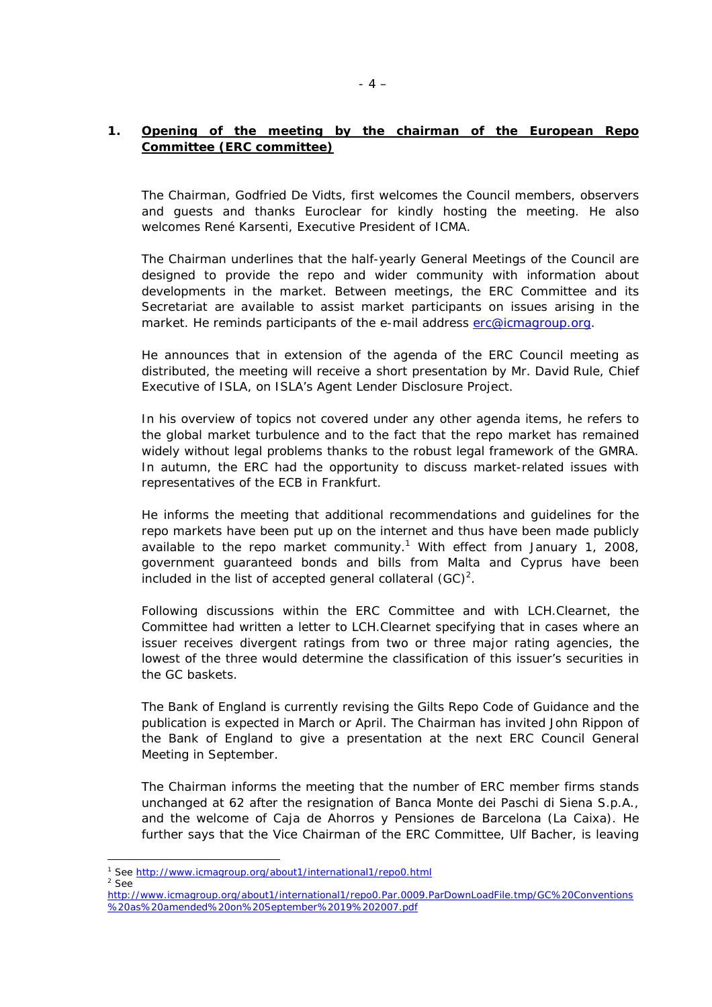## **1. Opening of the meeting by the chairman of the European Repo Committee (ERC committee)**

The Chairman, Godfried De Vidts, first welcomes the Council members, observers and guests and thanks Euroclear for kindly hosting the meeting. He also welcomes René Karsenti, Executive President of ICMA.

The Chairman underlines that the half-yearly General Meetings of the Council are designed to provide the repo and wider community with information about developments in the market. Between meetings, the ERC Committee and its Secretariat are available to assist market participants on issues arising in the market. He reminds participants of the e-mail address [erc@icmagroup.org.](mailto:erc@icmagroup.org)

He announces that in extension of the agenda of the ERC Council meeting as distributed, the meeting will receive a short presentation by Mr. David Rule, Chief Executive of ISLA, on ISLA's Agent Lender Disclosure Project.

In his overview of topics not covered under any other agenda items, he refers to the global market turbulence and to the fact that the repo market has remained widely without legal problems thanks to the robust legal framework of the GMRA. In autumn, the ERC had the opportunity to discuss market-related issues with representatives of the ECB in Frankfurt.

He informs the meeting that additional recommendations and guidelines for the repo markets have been put up on the internet and thus have been made publicly available to the repo market community.<sup>[1](#page-3-0)</sup> With effect from January 1, 2008, government guaranteed bonds and bills from Malta and Cyprus have been included in the list of accepted general collateral  $(GC)^2$  $(GC)^2$ .

Following discussions within the ERC Committee and with LCH.Clearnet, the Committee had written a letter to LCH.Clearnet specifying that in cases where an issuer receives divergent ratings from two or three major rating agencies, the lowest of the three would determine the classification of this issuer's securities in the GC baskets.

The Bank of England is currently revising the Gilts Repo Code of Guidance and the publication is expected in March or April. The Chairman has invited John Rippon of the Bank of England to give a presentation at the next ERC Council General Meeting in September.

The Chairman informs the meeting that the number of ERC member firms stands unchanged at 62 after the resignation of Banca Monte dei Paschi di Siena S.p.A., and the welcome of Caja de Ahorros y Pensiones de Barcelona (La Caixa). He further says that the Vice Chairman of the ERC Committee, Ulf Bacher, is leaving

<span id="page-3-1"></span> $2$  See

 $\overline{a}$ 

<span id="page-3-0"></span><sup>&</sup>lt;sup>1</sup> See <u>http://www.icmagroup.org/about1/international1/repo0.html</u><br><sup>2</sup> See

[http://www.icmagroup.org/about1/international1/repo0.Par.0009.ParDownLoadFile.tmp/GC%20Conventions](http://www.icmagroup.org/about1/international1/repo0.Par.0009.ParDownLoadFile.tmp/GC Conventions as amended on September 19 2007.pdf) [%20as%20amended%20on%20September%2019%202007.pdf](http://www.icmagroup.org/about1/international1/repo0.Par.0009.ParDownLoadFile.tmp/GC Conventions as amended on September 19 2007.pdf)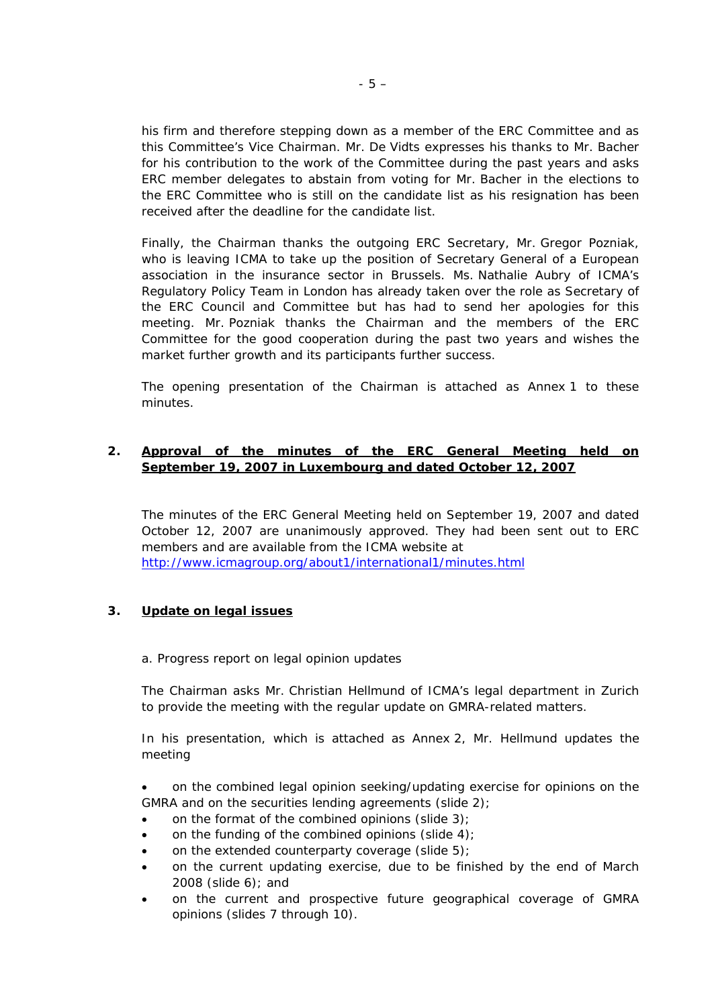his firm and therefore stepping down as a member of the ERC Committee and as this Committee's Vice Chairman. Mr. De Vidts expresses his thanks to Mr. Bacher for his contribution to the work of the Committee during the past years and asks ERC member delegates to abstain from voting for Mr. Bacher in the elections to the ERC Committee who is still on the candidate list as his resignation has been received after the deadline for the candidate list.

Finally, the Chairman thanks the outgoing ERC Secretary, Mr. Gregor Pozniak, who is leaving ICMA to take up the position of Secretary General of a European association in the insurance sector in Brussels. Ms. Nathalie Aubry of ICMA's Regulatory Policy Team in London has already taken over the role as Secretary of the ERC Council and Committee but has had to send her apologies for this meeting. Mr. Pozniak thanks the Chairman and the members of the ERC Committee for the good cooperation during the past two years and wishes the market further growth and its participants further success.

The opening presentation of the Chairman is attached as Annex 1 to these minutes.

### **2. Approval of the minutes of the ERC General Meeting held on September 19, 2007 in Luxembourg and dated October 12, 2007**

The minutes of the ERC General Meeting held on September 19, 2007 and dated October 12, 2007 are unanimously approved. They had been sent out to ERC members and are available from the ICMA website at <http://www.icmagroup.org/about1/international1/minutes.html>

### **3. Update on legal issues**

a. Progress report on legal opinion updates

The Chairman asks Mr. Christian Hellmund of ICMA's legal department in Zurich to provide the meeting with the regular update on GMRA-related matters.

In his presentation, which is attached as Annex 2, Mr. Hellmund updates the meeting

• on the combined legal opinion seeking/updating exercise for opinions on the GMRA and on the securities lending agreements (slide 2);

- on the format of the combined opinions (slide  $3$ );
- on the funding of the combined opinions (slide  $4$ );
- on the extended counterparty coverage (slide  $5$ );
- on the current updating exercise, due to be finished by the end of March 2008 (slide 6); and
- on the current and prospective future geographical coverage of GMRA opinions (slides 7 through 10).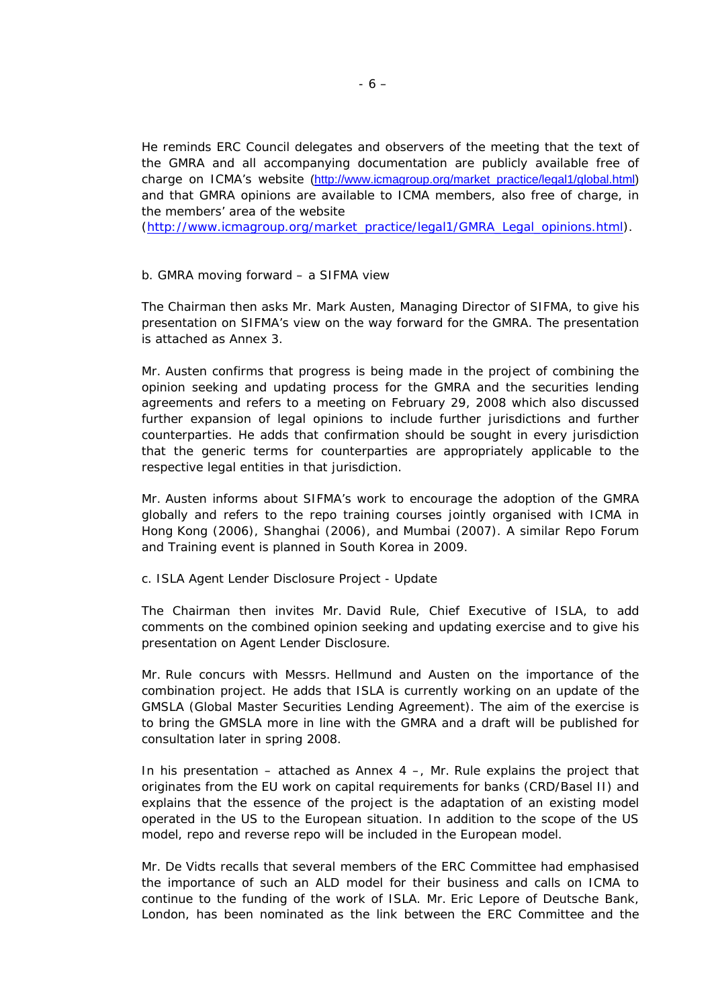He reminds ERC Council delegates and observers of the meeting that the text of the GMRA and all accompanying documentation are publicly available free of charge on ICMA's website ([http://www.icmagroup.org/market\\_practice/legal1/global.html\)](http://www.icmagroup.org/market_practice/legal1/global.html) and that GMRA opinions are available to ICMA members, also free of charge, in the members' area of the website

([http://www.icmagroup.org/market\\_practice/legal1/GMRA\\_Legal\\_opinions.html\)](http://www.icmagroup.org/market_practice/legal1/GMRA_Legal_opinions.html).

#### b. GMRA moving forward – a SIFMA view

The Chairman then asks Mr. Mark Austen, Managing Director of SIFMA, to give his presentation on SIFMA's view on the way forward for the GMRA. The presentation is attached as Annex 3.

Mr. Austen confirms that progress is being made in the project of combining the opinion seeking and updating process for the GMRA and the securities lending agreements and refers to a meeting on February 29, 2008 which also discussed further expansion of legal opinions to include further jurisdictions and further counterparties. He adds that confirmation should be sought in every jurisdiction that the generic terms for counterparties are appropriately applicable to the respective legal entities in that jurisdiction.

Mr. Austen informs about SIFMA's work to encourage the adoption of the GMRA globally and refers to the repo training courses jointly organised with ICMA in Hong Kong (2006), Shanghai (2006), and Mumbai (2007). A similar Repo Forum and Training event is planned in South Korea in 2009.

c. ISLA Agent Lender Disclosure Project - Update

The Chairman then invites Mr. David Rule, Chief Executive of ISLA, to add comments on the combined opinion seeking and updating exercise and to give his presentation on Agent Lender Disclosure.

Mr. Rule concurs with Messrs. Hellmund and Austen on the importance of the combination project. He adds that ISLA is currently working on an update of the GMSLA (Global Master Securities Lending Agreement). The aim of the exercise is to bring the GMSLA more in line with the GMRA and a draft will be published for consultation later in spring 2008.

In his presentation – attached as Annex 4 –, Mr. Rule explains the project that originates from the EU work on capital requirements for banks (CRD/Basel II) and explains that the essence of the project is the adaptation of an existing model operated in the US to the European situation. In addition to the scope of the US model, repo and reverse repo will be included in the European model.

Mr. De Vidts recalls that several members of the ERC Committee had emphasised the importance of such an ALD model for their business and calls on ICMA to continue to the funding of the work of ISLA. Mr. Eric Lepore of Deutsche Bank, London, has been nominated as the link between the ERC Committee and the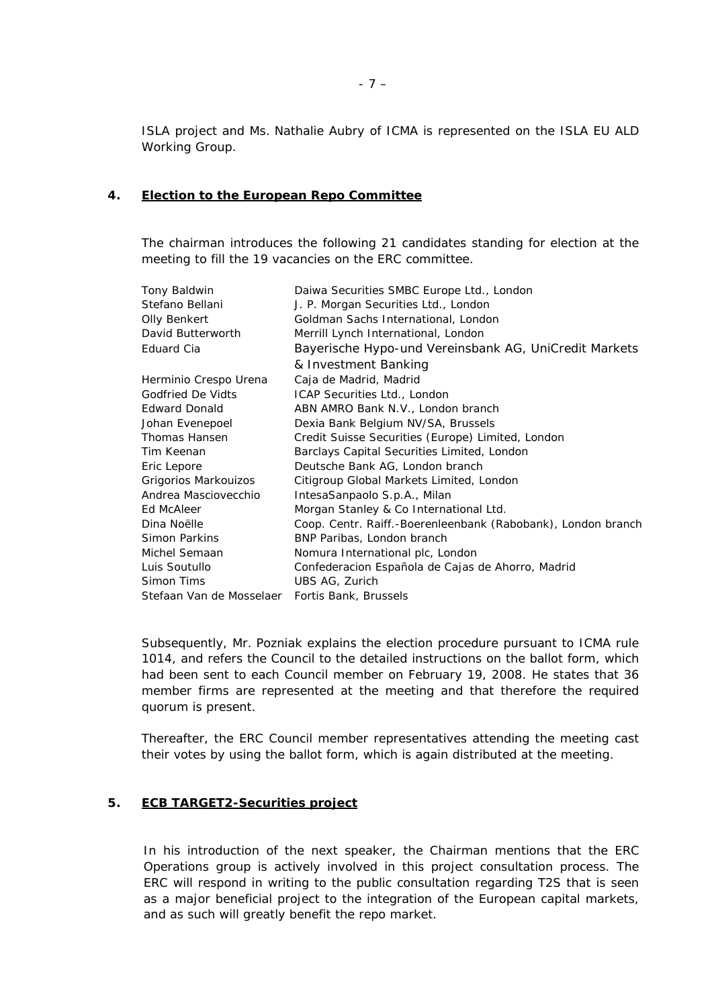ISLA project and Ms. Nathalie Aubry of ICMA is represented on the ISLA EU ALD Working Group.

#### **4. Election to the European Repo Committee**

The chairman introduces the following 21 candidates standing for election at the meeting to fill the 19 vacancies on the ERC committee.

| Tony Baldwin             | Daiwa Securities SMBC Europe Ltd., London                    |
|--------------------------|--------------------------------------------------------------|
| Stefano Bellani          | J. P. Morgan Securities Ltd., London                         |
| <b>Olly Benkert</b>      | Goldman Sachs International, London                          |
| David Butterworth        | Merrill Lynch International, London                          |
| Eduard Cia               | Bayerische Hypo-und Vereinsbank AG, UniCredit Markets        |
|                          | & Investment Banking                                         |
| Herminio Crespo Urena    | Caja de Madrid, Madrid                                       |
| Godfried De Vidts        | ICAP Securities Ltd., London                                 |
| <b>Edward Donald</b>     | ABN AMRO Bank N.V., London branch                            |
| Johan Evenepoel          | Dexia Bank Belgium NV/SA, Brussels                           |
| Thomas Hansen            | Credit Suisse Securities (Europe) Limited, London            |
| Tim Keenan               | Barclays Capital Securities Limited, London                  |
| Eric Lepore              | Deutsche Bank AG, London branch                              |
| Grigorios Markouizos     | Citigroup Global Markets Limited, London                     |
| Andrea Masciovecchio     | IntesaSanpaolo S.p.A., Milan                                 |
| Ed McAleer               | Morgan Stanley & Co International Ltd.                       |
| Dina Noëlle              | Coop. Centr. Raiff.-Boerenleenbank (Rabobank), London branch |
| Simon Parkins            | BNP Paribas, London branch                                   |
| Michel Semaan            | Nomura International plc, London                             |
| Luis Soutullo            | Confederacion Española de Cajas de Ahorro, Madrid            |
| Simon Tims               | UBS AG, Zurich                                               |
| Stefaan Van de Mosselaer | Fortis Bank, Brussels                                        |

Subsequently, Mr. Pozniak explains the election procedure pursuant to ICMA rule 1014, and refers the Council to the detailed instructions on the ballot form, which had been sent to each Council member on February 19, 2008. He states that 36 member firms are represented at the meeting and that therefore the required quorum is present.

Thereafter, the ERC Council member representatives attending the meeting cast their votes by using the ballot form, which is again distributed at the meeting.

### **5. ECB TARGET2-Securities project**

In his introduction of the next speaker, the Chairman mentions that the ERC Operations group is actively involved in this project consultation process. The ERC will respond in writing to the public consultation regarding T2S that is seen as a major beneficial project to the integration of the European capital markets, and as such will greatly benefit the repo market.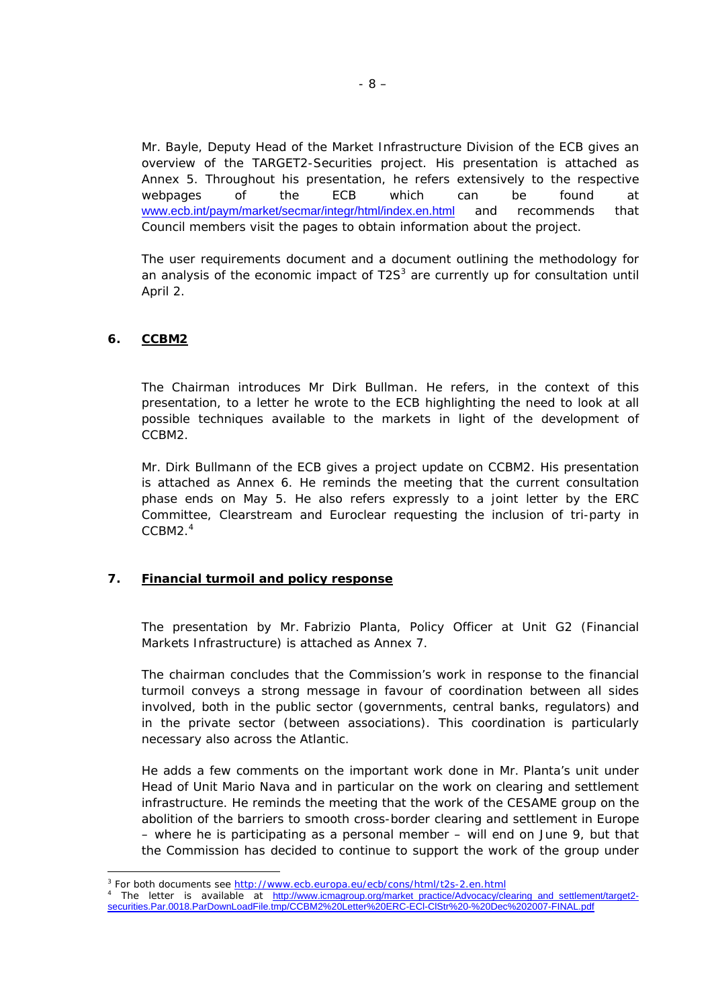Mr. Bayle, Deputy Head of the Market Infrastructure Division of the ECB gives an overview of the TARGET2-Securities project. His presentation is attached as Annex 5. Throughout his presentation, he refers extensively to the respective webpages of the ECB which can be found at [www.ecb.int/paym/market/secmar/integr/html/index.en.html](http://www.ecb.int/paym/market/secmar/integr/html/index.en.html) and recommends that Council members visit the pages to obtain information about the project.

The user requirements document and a document outlining the methodology for an analysis of the economic impact of  $T2S<sup>3</sup>$  are currently up for consultation until April 2.

### **6. CCBM2**

 $\overline{a}$ 

The Chairman introduces Mr Dirk Bullman. He refers, in the context of this presentation, to a letter he wrote to the ECB highlighting the need to look at all possible techniques available to the markets in light of the development of CCBM2.

Mr. Dirk Bullmann of the ECB gives a project update on CCBM2. His presentation is attached as Annex 6. He reminds the meeting that the current consultation phase ends on May 5. He also refers expressly to a joint letter by the ERC Committee, Clearstream and Euroclear requesting the inclusion of tri-party in CCBM2.[4](#page-7-1)

### **7. Financial turmoil and policy response**

The presentation by Mr. Fabrizio Planta, Policy Officer at Unit G2 (Financial Markets Infrastructure) is attached as Annex 7.

The chairman concludes that the Commission's work in response to the financial turmoil conveys a strong message in favour of coordination between all sides involved, both in the public sector (governments, central banks, regulators) and in the private sector (between associations). This coordination is particularly necessary also across the Atlantic.

He adds a few comments on the important work done in Mr. Planta's unit under Head of Unit Mario Nava and in particular on the work on clearing and settlement infrastructure. He reminds the meeting that the work of the CESAME group on the abolition of the barriers to smooth cross-border clearing and settlement in Europe – where he is participating as a personal member – will end on June 9, but that the Commission has decided to continue to support the work of the group under

<span id="page-7-0"></span><sup>3</sup> For both documents see http://www.ecb.europa.eu/ecb/cons/html/t2s-2.en.html

<span id="page-7-1"></span>The letter is available at [http://www.icmagroup.org/market\\_practice/Advocacy/clearing\\_and\\_settlement/target2](http://www.icmagroup.org/market_practice/Advocacy/clearing_and_settlement/target2-securities.Par.0018.ParDownLoadFile.tmp/CCBM2 Letter ERC-ECl-ClStr - Dec 2007-FINAL.pdf) [securities.Par.0018.ParDownLoadFile.tmp/CCBM2%20Letter%20ERC-ECl-ClStr%20-%20Dec%202007-FINAL.pdf](http://www.icmagroup.org/market_practice/Advocacy/clearing_and_settlement/target2-securities.Par.0018.ParDownLoadFile.tmp/CCBM2 Letter ERC-ECl-ClStr - Dec 2007-FINAL.pdf)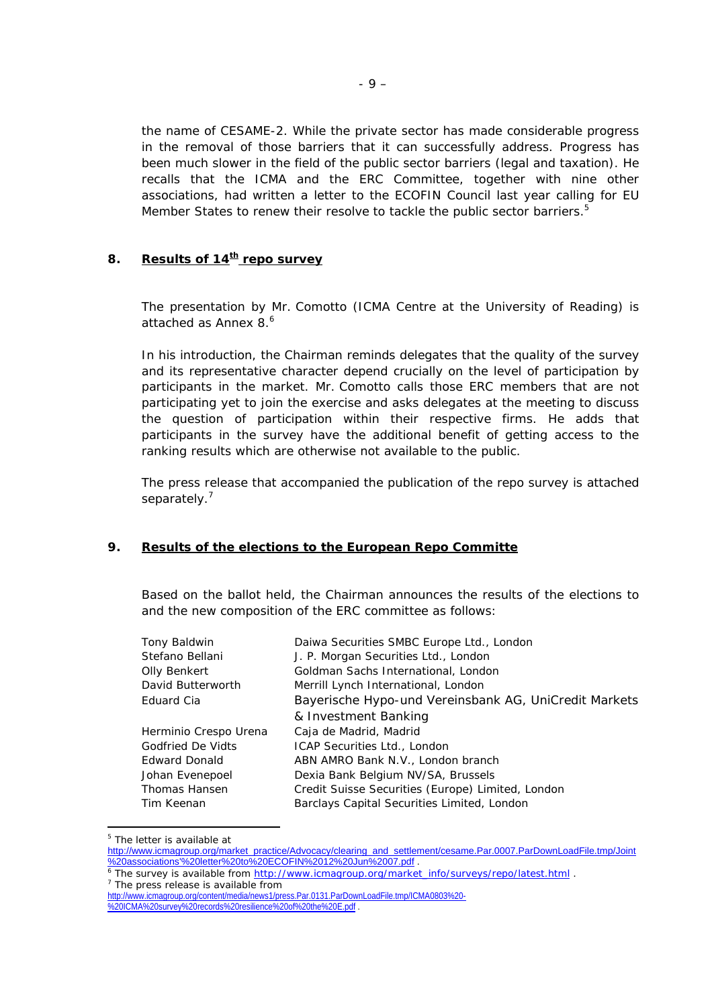the name of CESAME-2. While the private sector has made considerable progress in the removal of those barriers that it can successfully address. Progress has been much slower in the field of the public sector barriers (legal and taxation). He recalls that the ICMA and the ERC Committee, together with nine other associations, had written a letter to the ECOFIN Council last year calling for EU Member States to renew their resolve to tackle the public sector barriers.<sup>5</sup>

### 8. **Results of 14<sup>th</sup> repo survey**

The presentation by Mr. Comotto (ICMA Centre at the University of Reading) is attached as Annex  $8<sup>6</sup>$ 

In his introduction, the Chairman reminds delegates that the quality of the survey and its representative character depend crucially on the level of participation by participants in the market. Mr. Comotto calls those ERC members that are not participating yet to join the exercise and asks delegates at the meeting to discuss the question of participation within their respective firms. He adds that participants in the survey have the additional benefit of getting access to the ranking results which are otherwise not available to the public.

The press release that accompanied the publication of the repo survey is attached separately.<sup>[7](#page-8-2)</sup>

### **9. Results of the elections to the European Repo Committe**

Based on the ballot held, the Chairman announces the results of the elections to and the new composition of the ERC committee as follows:

| Tony Baldwin          | Daiwa Securities SMBC Europe Ltd., London             |
|-----------------------|-------------------------------------------------------|
| Stefano Bellani       | J. P. Morgan Securities Ltd., London                  |
| Olly Benkert          | Goldman Sachs International, London                   |
| David Butterworth     | Merrill Lynch International, London                   |
| Eduard Cia            | Bayerische Hypo-und Vereinsbank AG, UniCredit Markets |
|                       | & Investment Banking                                  |
| Herminio Crespo Urena | Caja de Madrid, Madrid                                |
| Godfried De Vidts     | ICAP Securities Ltd., London                          |
| <b>Edward Donald</b>  | ABN AMRO Bank N.V., London branch                     |
| Johan Evenepoel       | Dexia Bank Belgium NV/SA, Brussels                    |
| Thomas Hansen         | Credit Suisse Securities (Europe) Limited, London     |
| Tim Keenan            | Barclays Capital Securities Limited, London           |

<span id="page-8-0"></span><sup>&</sup>lt;sup>5</sup> The letter is available at

 $\overline{a}$ 

[http://www.icmagroup.org/market\\_practice/Advocacy/clearing\\_and\\_settlement/cesame.Par.0007.ParDownLoadFile.tmp/Joint](http://www.icmagroup.org/market_practice/Advocacy/clearing_and_settlement/cesame.Par.0007.ParDownLoadFile.tmp/Joint associations)

<span id="page-8-1"></span>[<sup>%20</sup>associations'%20letter%20to%20ECOFIN%2012%20Jun%2007.pdf](http://www.icmagroup.org/market_practice/Advocacy/clearing_and_settlement/cesame.Par.0007.ParDownLoadFile.tmp/Joint associations) .<br><sup>6</sup> The survey is available from <u>http://www.icmagroup.org/market\_info/surveys/repo/latest.html</u> .<br><sup>7</sup> The press release is available from  $7$  The press release is available from

<span id="page-8-2"></span>[http://www.icmagroup.org/content/media/news1/press.Par.0131.ParDownLoadFile.tmp/ICMA0803%20-](http://www.icmagroup.org/content/media/news1/press.Par.0131.ParDownLoadFile.tmp/ICMA0803 - ICMA survey records resilience of the E.pdf) [%20ICMA%20survey%20records%20resilience%20of%20the%20E.pdf](http://www.icmagroup.org/content/media/news1/press.Par.0131.ParDownLoadFile.tmp/ICMA0803 - ICMA survey records resilience of the E.pdf) .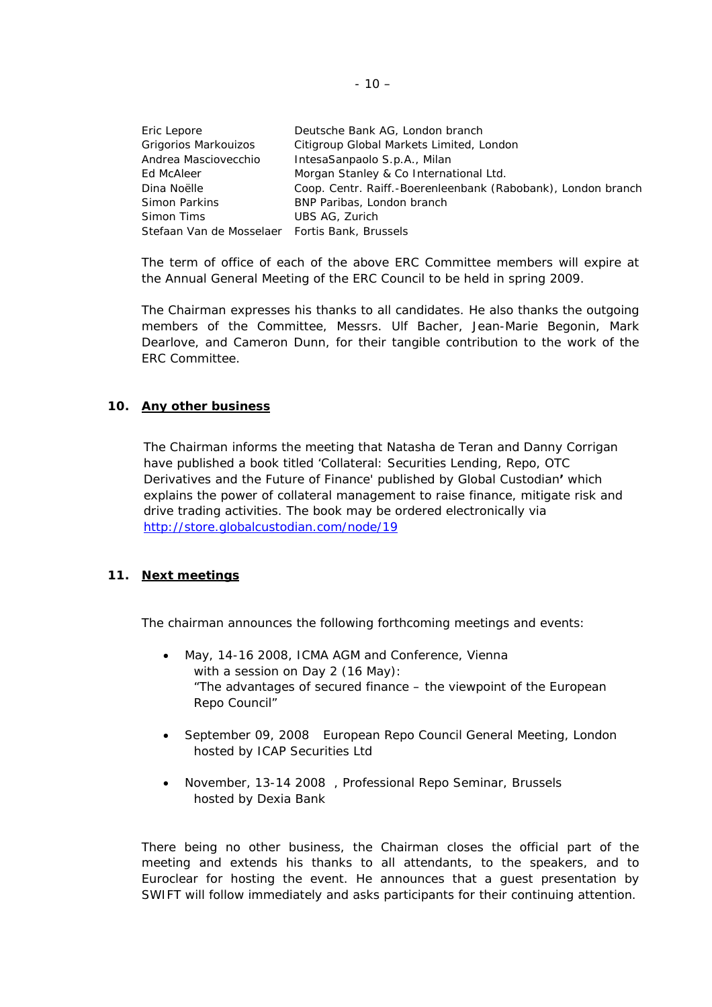| Eric Lepore                                    | Deutsche Bank AG, London branch                              |
|------------------------------------------------|--------------------------------------------------------------|
| Grigorios Markouizos                           | Citigroup Global Markets Limited, London                     |
| Andrea Masciovecchio                           | IntesaSanpaolo S.p.A., Milan                                 |
| Ed McAleer                                     | Morgan Stanley & Co International Ltd.                       |
| Dina Noëlle                                    | Coop. Centr. Raiff.-Boerenleenbank (Rabobank), London branch |
| Simon Parkins                                  | BNP Paribas, London branch                                   |
| Simon Tims                                     | UBS AG, Zurich                                               |
| Stefaan Van de Mosselaer Fortis Bank, Brussels |                                                              |

The term of office of each of the above ERC Committee members will expire at the Annual General Meeting of the ERC Council to be held in spring 2009.

The Chairman expresses his thanks to all candidates. He also thanks the outgoing members of the Committee, Messrs. Ulf Bacher, Jean-Marie Begonin, Mark Dearlove, and Cameron Dunn, for their tangible contribution to the work of the ERC Committee.

### **10. Any other business**

The Chairman informs the meeting that Natasha de Teran and Danny Corrigan have published a book titled 'Collateral: Securities Lending, Repo, OTC Derivatives and the Future of Finance' published by Global Custodian**'** which explains the power of collateral management to raise finance, mitigate risk and drive trading activities. The book may be ordered electronically *via* <http://store.globalcustodian.com/node/19>

## **11. Next meetings**

The chairman announces the following forthcoming meetings and events:

- May, 14-16 2008, ICMA AGM and Conference, Vienna with a session on Day 2 (16 May): "The advantages of secured finance – the viewpoint of the European Repo Council"
- September 09, 2008 European Repo Council General Meeting, London hosted by ICAP Securities Ltd
- November, 13-14 2008 , Professional Repo Seminar, Brussels hosted by Dexia Bank

There being no other business, the Chairman closes the official part of the meeting and extends his thanks to all attendants, to the speakers, and to Euroclear for hosting the event. He announces that a guest presentation by SWIFT will follow immediately and asks participants for their continuing attention.